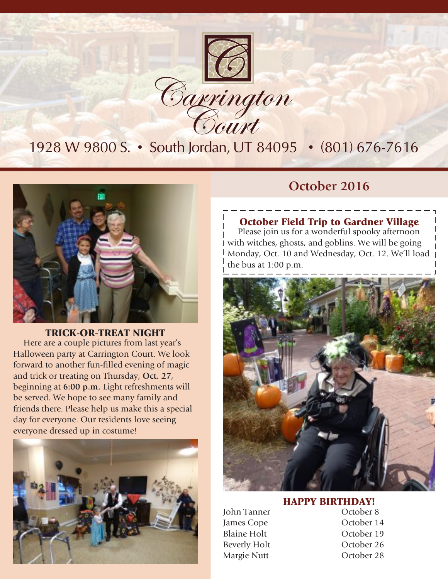

1928 W 9800 S. • South Jordan, UT 84095 • (801) 676-7616



TRICK-OR-TREAT NIGHT Here are a couple pictures from last year's Halloween party at Carrington Court. We look forward to another fun-filled evening of magic and trick or treating on Thursday, **Oct. 27**, beginning at **6:00 p.m.** Light refreshments will be served. We hope to see many family and friends there. Please help us make this a special day for everyone. Our residents love seeing everyone dressed up in costume!



### **October 2016**

#### October Field Trip to Gardner Village

Please join us for a wonderful spooky afternoon with witches, ghosts, and goblins. We will be going Monday, Oct. 10 and Wednesday, Oct. 12. We'll load the bus at 1:00 p.m.



### **HAPPY BIRTHDAY!**<br>October 8

- John Tanner James Cope **October 14** Blaine Holt **October 19** Beverly Holt October 26 Margie Nutt **October 28**
-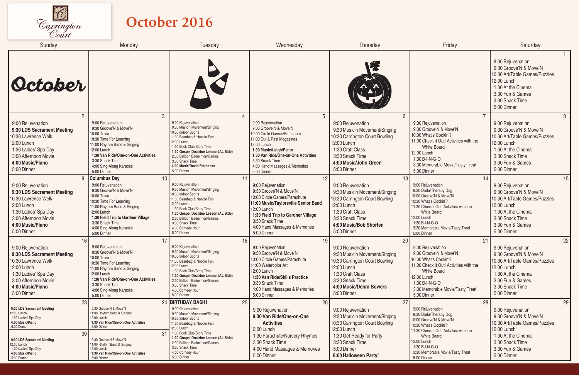

## **October 2016**

| Sunday                                                                                                                                                                                     | Monday                                                                                                                                                                                                                                                               | Tuesday                                                                                                                                                                                                                                                                                      | Wednesday                                                                                                                                                                                                                                                    | Thursday                                                                                                                                                                                   | Friday                                                                                                                                                                                                                                                     | Saturday                                                                                                                                                                      |
|--------------------------------------------------------------------------------------------------------------------------------------------------------------------------------------------|----------------------------------------------------------------------------------------------------------------------------------------------------------------------------------------------------------------------------------------------------------------------|----------------------------------------------------------------------------------------------------------------------------------------------------------------------------------------------------------------------------------------------------------------------------------------------|--------------------------------------------------------------------------------------------------------------------------------------------------------------------------------------------------------------------------------------------------------------|--------------------------------------------------------------------------------------------------------------------------------------------------------------------------------------------|------------------------------------------------------------------------------------------------------------------------------------------------------------------------------------------------------------------------------------------------------------|-------------------------------------------------------------------------------------------------------------------------------------------------------------------------------|
| <i><u>October</u></i>                                                                                                                                                                      |                                                                                                                                                                                                                                                                      |                                                                                                                                                                                                                                                                                              |                                                                                                                                                                                                                                                              |                                                                                                                                                                                            |                                                                                                                                                                                                                                                            | 9:00 Rejuvenation<br>9:30 Groove'N & Move'N<br>10:30 Art/Table Games/Puzzles<br>12:00 Lunch<br>1:30 At the Cinema<br>3:30 Fun & Games<br>3:30 Snack Time<br>5:00 Dinner       |
| $\overline{2}$<br>9:00 Rejuvenation<br>9:30 LDS Sacrament Meeting<br>10:30 Lawrence Welk<br>12:00 Lunch<br>1:30 Ladies' Spa Day<br>3:00 Afternoon Movie<br>4:00 Music/Piano<br>5:00 Dinner | $\mathbf{3}$<br>9:00 Rejuvenation<br>9:30 Groove'N & Move'N<br>10:00 Trivia<br>10:30 Time For Learning<br>11:00 Rhythm Band & Singing<br>12:00 Lunch<br>1:30 Van Ride/One-on-One Activities<br>3:30 Snack Time<br>4:00 Sing-Along Karaoke<br>5:00 Dinner             | 9:00 Rejuvenation<br>9:30 Music'n Movement/Singing<br>10:30 Indoor Sports<br>11:30 Beanbag & Noodle Fun<br>12:00 Lunch<br>1:30 Book Club/Story Time<br>1:30 Gospel Doctrine Lesson (AL Side)<br>2:30 Balloon Badminton/Games<br>3:30 Snack Time<br>4:00 Music/David Fairbanks<br>5:00 Dinner | 9:00 Rejuvenation<br>9:30 Groove'N & Move'N<br>10:00 Circle Games/Parachute<br>11:00 Cut & Past Magazines<br>12:00 Lunch<br>1:30 Music/Leigh/Piano<br>1:30 Van Ride/One-on-One Activities<br>3:30 Snack Time<br>4:00 Hand Massages & Memories<br>5:00 Dinner | 6<br>9:00 Rejuvenation<br>9:30 Music'n Movement/Singing<br>10:30 Carrington Court Bowling<br>12:00 Lunch<br>1:30 Craft Class<br>3:30 Snack Time<br>4:00 Music/John Green<br>5:00 Dinner    | 9:00 Rejuvenation<br>9:30 Groove'N & Move'N<br>10:00 What's Cookin'?<br>11:00 Check it Out! Activities with the<br><b>White Board</b><br>12:00 Lunch<br>1:30 B-I-N-G-O<br>3:30 Memorable Movie/Tasty Treat<br>5:00 Dinner                                  | 8<br>9:00 Rejuvenation<br>9:30 Groove'N & Move'N<br>10:30 Art/Table Games/Puzzles<br>12:00 Lunch<br>1:30 At the Cinema<br>3:30 Snack Time<br>3:30 Fun & Games<br>5:00 Dinner  |
| $\mathbf{Q}$<br>9:00 Rejuvenation<br>9:30 LDS Sacrament Meeting<br>10:30 Lawrence Welk<br>12:00 Lunch<br>1:30 Ladies' Spa Day<br>3:00 Afternoon Movie<br>4:00 Music/Piano<br>5:00 Dinner   | 10<br><b>Columbus Day</b><br>9:00 Rejuvenation<br>9:30 Groove'N & Move'N<br>10:00 Trivia<br>10:30 Time For Learning<br>11:00 Rhythm Band & Singing<br>12:00 Lunch<br>1:30 Field Trip to Gardner Village<br>3:30 Snack Time<br>4:00 Sing-Along Karaoke<br>5:00 Dinner | 11<br>9:00 Rejuvenation<br>9:30 Music'n Movement/Singing<br>10:30 Indoor Sports<br>11:30 Beanbag & Noodle Fun<br>12:00 Lunch<br>1:30 Book Club/Story Time<br>1:30 Gospel Doctrine Lesson (AL Side)<br>2:30 Balloon Badminton/Games<br>3:30 Snack Time<br>4:00 Comedy Hour<br>5:00 Dinner     | 12<br>9:00 Rejuvenation<br>9:30 Groove'N & Move'N<br>10:00 Circle Games/Parachute<br>11:00 Music/Taylorsville Senior Band<br>12:00 Lunch<br>1:30 Field Trip to Gardner Village<br>3:30 Snack Time<br>4:00 Hand Massages & Memories<br>5:00 Dinner            | 13<br>9:00 Rejuvenation<br>9:30 Music'n Movement/Singing<br>10:30 Carrington Court Bowling<br>12:00 Lunch<br>1:30 Craft Class<br>3:30 Snack Time<br>4:00 Music/Bob Shorten<br>5:00 Dinner  | 14<br>9:00 Rejuvenation<br>9:30 Darla/Therapy Dog<br>10:00 Groove'N & Move'N<br>10:30 What's Cookin'?<br>11:30 Check it Out! Activities with the<br><b>White Board</b><br>12:00 Lunch<br>1:30 B-I-N-G-O<br>3:30 Memorable Movie/Tasty Treat<br>5:00 Dinner | 15<br>9:00 Rejuvenation<br>9:30 Groove'N & Move'N<br>10:30 Art/Table Games/Puzzles<br>12:00 Lunch<br>1:30 At the Cinema<br>3:30 Snack Time<br>3:30 Fun & Games<br>5:00 Dinner |
| 16<br>9:00 Rejuvenation<br>9:30 LDS Sacrament Meeting<br>10:30 Lawrence Welk<br>12:00 Lunch<br>1:30 Ladies' Spa Day<br>3:00 Afternoon Movie<br>4:00 Music/Piano<br>5:00 Dinner             | 17<br>9:00 Rejuvenation<br>9:30 Groove'N & Move'N<br>10:00 Trivia<br>10:30 Time For Learning<br>11:00 Rhythm Band & Singing<br>12:00 Lunch<br>1:30 Van Ride/One-on-One Activities<br>3:30 Snack Time<br>4:00 Sing-Along Karaoke<br>5:00 Dinner                       | 18<br>9:00 Rejuvenation<br>9:30 Music'n Movement/Singing<br>10:30 Indoor Sports<br>11:30 Beanbag & Noodle Fun<br>12:00 Lunch<br>1:30 Book Club/Story Time<br>1:30 Gospel Doctrine Lesson (AL Side)<br>2:30 Balloon Badminton/Games<br>3:30 Snack Time<br>4:00 Comedy Hour<br>5:00 Dinner     | 19<br>9:00 Rejuvenation<br>9:30 Groove'N & Move'N<br>10:00 Circle Games/Parachute<br>11:00 Watercolor Art<br>12:00 Lunch<br>1:30 Van Ride/Skills Practice<br>3:30 Snack Time<br>4:00 Hand Massages & Memories<br>5:00 Dinner                                 | 20<br>9:00 Rejuvenation<br>9:30 Music'n Movement/Singing<br>10:30 Carrington Court Bowling<br>12:00 Lunch<br>1:30 Craft Class<br>3:30 Snack Time<br>4:00 Music/Debra Bowers<br>5:00 Dinner | 21<br>9:00 Rejuvenation<br>9:30 Groove'N & Move'N<br>10:00 What's Cookin'?<br>11:00 Check it Out! Activities with the<br><b>White Board</b><br>12:00 Lunch<br>1:30 B-I-N-G-O<br>3:30 Memorable Movie/Tasty Treat<br>5:00 Dinner                            | 22<br>9:00 Rejuvenation<br>9:30 Groove'N & Move'N<br>10:30 Art/Table Games/Puzzles<br>12:00 Lunch<br>1:30 At the Cinema<br>3:30 Fun & Games<br>3:30 Snack Time<br>5:00 Dinner |
| 23<br>9:30 LDS Sacrament Meeting<br>12:00 Lunch<br>1:30 Ladies' Spa Day<br>4:00 Music/Piano<br>5:00 Dinner<br>30<br>9:30 LDS Sacrament Meeting                                             | 24<br>9:30 Groove'N & Move'N<br>11:00 Rhythm Band & Singing<br>12:00 Lunch<br>1:30 Van Ride/One-on-One Activities<br>5:00 Dinner<br>31<br>9:30 Groove'N & Move'N                                                                                                     | <b>BIRTHDAY BASH1</b><br>25<br>9:00 Reiuvenation<br>9:30 Music'n Movement/Singing<br>10:30 Indoor Sports<br>11:30 Beanbag & Noodle Fun<br>12:00 Lunch<br>1:30 Book Club/Story Time<br>1:30 Gospel Doctrine Lesson (AL Side)                                                                  | 26<br>9:00 Rejuvenation<br>9:30 Van Ride/One-on-One<br><b>Activities</b><br>12:00 Lunch<br>1:30 Parachute/Nursery Rhymes                                                                                                                                     | 27<br>9:00 Rejuvenation<br>9:30 Music'n Movement/Singing<br>10:30 Carrington Court Bowling<br>12:00 Lunch<br>1:30 Get Ready for Party                                                      | 28<br>9:00 Rejuvenation<br>9:30 Darla/Therapy Dog<br>10:00 Groove'N & Move'N<br>10:30 What's Cookin'?<br>11:30 Check it Out! Activities with the<br><b>White Board</b><br>12:00 Lunch                                                                      | 29<br>9:00 Rejuvenation<br>9:30 Groove'N & Move'N<br>10:30 Art/Table Games/Puzzles<br>12:00 Lunch<br>1:30 At the Cinema                                                       |
| 12:00 Lunch<br>1:30 Ladies' Spa Day<br>4:00 Music/Piano<br>5:00 Dinner                                                                                                                     | 11:00 Rhythm Band & Singing<br>12:00 Lunch<br>1:30 Van Ride/One-on-One Activities<br>5:00 Dinner                                                                                                                                                                     | 2:30 Balloon Badminton/Games<br>3:30 Snack Time<br>4:00 Comedy Hour<br>5:00 Dinner                                                                                                                                                                                                           | 3:30 Snack Time<br>4:00 Hand Massages & Memories<br>5:00 Dinner                                                                                                                                                                                              | 3:30 Snack Time<br>5:00 Dinner<br>6:00 Halloween Party!                                                                                                                                    | 1:30 B-I-N-G-O<br>3:30 Memorable Movie/Tasty Treat<br>5:00 Dinner                                                                                                                                                                                          | 3:30 Snack Time<br>3:30 Fun & Games<br>5:00 Dinner                                                                                                                            |